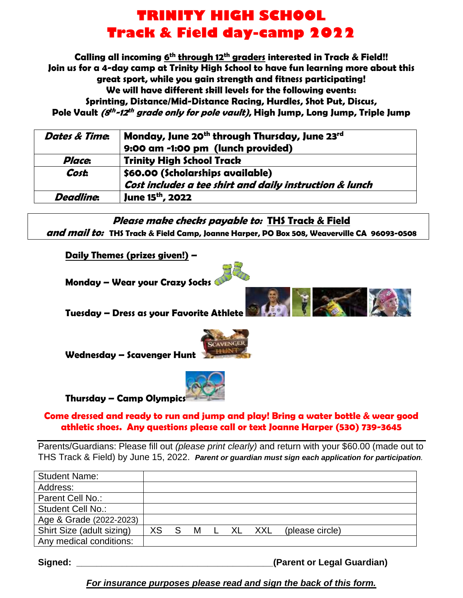## **TRINITY HIGH SCHOOL Track & Field day-camp 2022**

**Calling all incoming 6 th through 12th graders interested in Track & Field!! Join us for a 4-day camp at Trinity High School to have fun learning more about this great sport, while you gain strength and fitness participating! We will have different skill levels for the following events: Sprinting, Distance/Mid-Distance Racing, Hurdles, Shot Put, Discus, Pole Vault (8 th -12 th grade only for pole vault), High Jump, Long Jump, Triple Jump**

| Dates & Time.    | Monday, June 20 <sup>th</sup> through Thursday, June 23 <sup>rd</sup><br>9:00 am -1:00 pm (lunch provided) |
|------------------|------------------------------------------------------------------------------------------------------------|
| Place.           | <b>Trinity High School Track</b>                                                                           |
| <b>Cost.</b>     | \$60.00 (Scholarships available)                                                                           |
|                  | Cost includes a tee shirt and daily instruction & lunch                                                    |
| <b>Deadline:</b> | June 15 <sup>th</sup> , 2022                                                                               |

**Please make checks payable to: THS Track & Field and mail to: THS Track & Field Camp, Joanne Harper, PO Box 508, Weaverville CA 96093-0508**

**Daily Themes (prizes given!) –**

**Monday – Wear your Crazy Socks**

**Tuesday – Dress as your Favorite Athlete**



**Wednesday – Scavenger Hunt**



#### **Thursday – Camp Olympics**

#### **Come dressed and ready to run and jump and play! Bring a water bottle & wear good athletic shoes. Any questions please call or text Joanne Harper (530) 739-3645**

Parents/Guardians: Please fill out *(please print clearly)* and return with your \$60.00 (made out to THS Track & Field) by June 15, 2022. *Parent or guardian must sign each application for participation.*

| <b>Student Name:</b>      |    |   |   |     |     |                 |  |
|---------------------------|----|---|---|-----|-----|-----------------|--|
|                           |    |   |   |     |     |                 |  |
| Address:                  |    |   |   |     |     |                 |  |
| Parent Cell No.:          |    |   |   |     |     |                 |  |
|                           |    |   |   |     |     |                 |  |
| <b>Student Cell No.:</b>  |    |   |   |     |     |                 |  |
| Age & Grade (2022-2023)   |    |   |   |     |     |                 |  |
|                           |    |   |   |     |     |                 |  |
| Shirt Size (adult sizing) | XS | S | M | XL. | XXL | (please circle) |  |
|                           |    |   |   |     |     |                 |  |
| Any medical conditions:   |    |   |   |     |     |                 |  |
|                           |    |   |   |     |     |                 |  |

**Signed: \_\_\_\_\_\_\_\_\_\_\_\_\_\_\_\_\_\_\_\_\_\_\_\_\_\_\_\_\_\_\_\_\_\_\_\_\_\_\_(Parent or Legal Guardian)** 

### *For insurance purposes please read and sign the back of this form.*